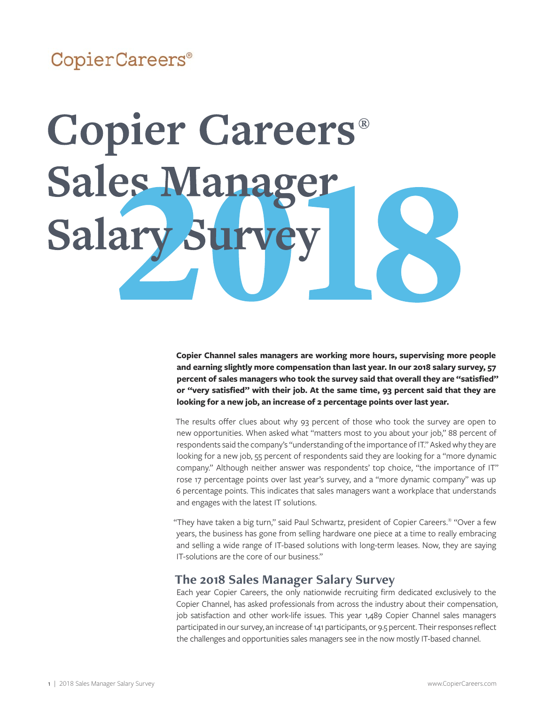# CopierCareers®

# **Copier Careers® Sales Manag Salary Su**

**Copier Channel sales managers are working more hours, supervising more people and earning slightly more compensation than last year. In our 2018 salary survey, 57 percent of sales managers who took the survey said that overall they are "satisfied" or "very satisfied" with their job. At the same time, 93 percent said that they are looking for a new job, an increase of 2 percentage points over last year.** 

The results offer clues about why 93 percent of those who took the survey are open to new opportunities. When asked what "matters most to you about your job," 88 percent of respondents said the company's "understanding of the importance of IT." Asked why they are looking for a new job, 55 percent of respondents said they are looking for a "more dynamic company." Although neither answer was respondents' top choice, "the importance of IT" rose 17 percentage points over last year's survey, and a "more dynamic company" was up 6 percentage points. This indicates that sales managers want a workplace that understands and engages with the latest IT solutions.

"They have taken a big turn," said Paul Schwartz, president of Copier Careers.® "Over a few years, the business has gone from selling hardware one piece at a time to really embracing and selling a wide range of IT-based solutions with long-term leases. Now, they are saying IT-solutions are the core of our business."

# **The 2018 Sales Manager Salary Survey**

Each year Copier Careers, the only nationwide recruiting firm dedicated exclusively to the Copier Channel, has asked professionals from across the industry about their compensation, job satisfaction and other work-life issues. This year 1,489 Copier Channel sales managers participated in our survey, an increase of 141 participants, or 9.5 percent. Their responses reflect the challenges and opportunities sales managers see in the now mostly IT-based channel.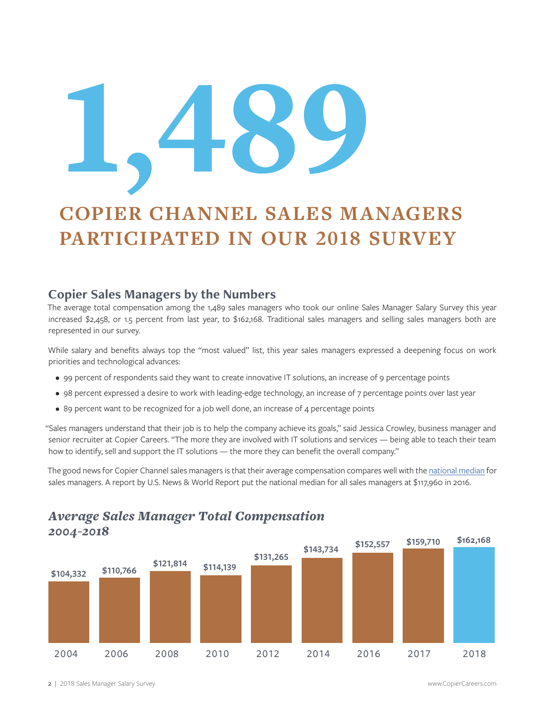# 1'489

# **COPIER CHANNEL SALES MANAGERS PARTICIPATED IN OUR 2018 SURVEY**

# **Copier Sales Managers by the Numbers**

The average total compensation among the 1,489 sales managers who took our online Sales Manager Salary Survey this year increased \$2,458, or 1.5 percent from last year, to \$162,168. Traditional sales managers and selling sales managers both are represented in our survey.

While salary and benefits always top the "most valued" list, this year sales managers expressed a deepening focus on work priorities and technological advances:

- 99 percent of respondents said they want to create innovative IT solutions, an increase of 9 percentage points
- 98 percent expressed a desire to work with leading-edge technology, an increase of 7 percentage points over last year
- 89 percent want to be recognized for a job well done, an increase of 4 percentage points

"Sales managers understand that their job is to help the company achieve its goals," said Jessica Crowley, business manager and senior recruiter at Copier Careers. "The more they are involved with IT solutions and services — being able to teach their team how to identify, sell and support the IT solutions — the more they can benefit the overall company."

The good news for Copier Channel sales managers is that their average compensation compares well with the [national median](https://money.usnews.com/careers/best-jobs/sales-manager/salary

 ) for sales managers. A report by U.S. News & World Report put the national median for all sales managers at \$117,960 in 2016.



# *Average Sales Manager Total Compensation*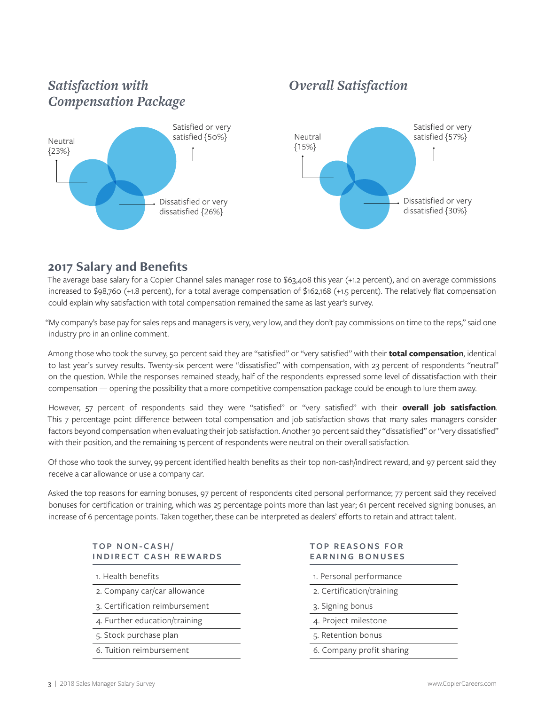# *Satisfaction with Compensation Package*



# *Overall Satisfaction*



# **2017 Salary and Benefits**

The average base salary for a Copier Channel sales manager rose to \$63,408 this year (+1.2 percent), and on average commissions increased to \$98,760 (+1.8 percent), for a total average compensation of \$162,168 (+1.5 percent). The relatively flat compensation could explain why satisfaction with total compensation remained the same as last year's survey.

"My company's base pay for sales reps and managers is very, very low, and they don't pay commissions on time to the reps," said one industry pro in an online comment.

Among those who took the survey, 50 percent said they are "satisfied" or "very satisfied" with their **total compensation**, identical to last year's survey results. Twenty-six percent were "dissatisfied" with compensation, with 23 percent of respondents "neutral" on the question. While the responses remained steady, half of the respondents expressed some level of dissatisfaction with their compensation — opening the possibility that a more competitive compensation package could be enough to lure them away.

However, 57 percent of respondents said they were "satisfied" or "very satisfied" with their **overall job satisfaction**. This 7 percentage point difference between total compensation and job satisfaction shows that many sales managers consider factors beyond compensation when evaluating their job satisfaction. Another 30 percent said they "dissatisfied" or "very dissatisfied" with their position, and the remaining 15 percent of respondents were neutral on their overall satisfaction.

Of those who took the survey, 99 percent identified health benefits as their top non-cash/indirect reward, and 97 percent said they receive a car allowance or use a company car.

Asked the top reasons for earning bonuses, 97 percent of respondents cited personal performance; 77 percent said they received bonuses for certification or training, which was 25 percentage points more than last year; 61 percent received signing bonuses, an increase of 6 percentage points. Taken together, these can be interpreted as dealers' efforts to retain and attract talent.

|  | <b>TOP NON-CASH/</b> |                              |
|--|----------------------|------------------------------|
|  |                      | <b>INDIRECT CASH REWARDS</b> |

1. Health benefits

- 2. Company car/car allowance
- 3. Certification reimbursement
- 4. Further education/training
- 5. Stock purchase plan
- 6. Tuition reimbursement

|  |  | TOP REASONS FOR        |  |  |  |
|--|--|------------------------|--|--|--|
|  |  | <b>EARNING BONUSES</b> |  |  |  |

- 1. Personal performance
- 2. Certification/training
- 3. Signing bonus
- 4. Project milestone
- 5. Retention bonus
- 6. Company profit sharing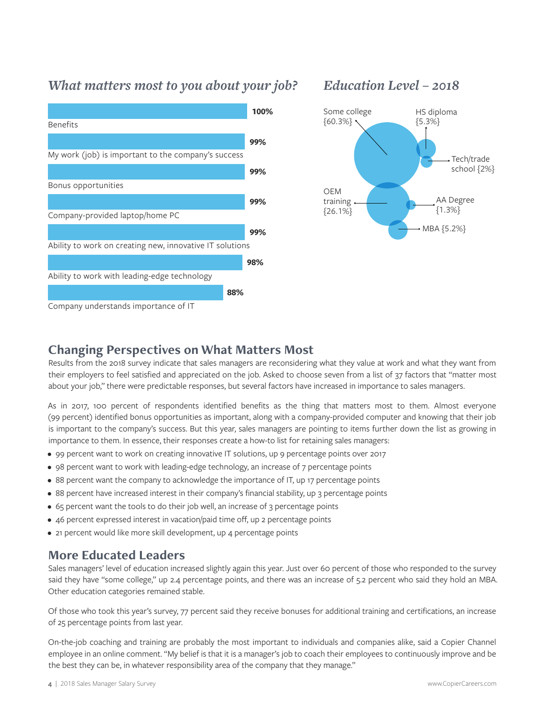# *What matters most to you about your job?*



# *Education Level – 2018*



# **Changing Perspectives on What Matters Most**

Results from the 2018 survey indicate that sales managers are reconsidering what they value at work and what they want from their employers to feel satisfied and appreciated on the job. Asked to choose seven from a list of 37 factors that "matter most about your job," there were predictable responses, but several factors have increased in importance to sales managers.

As in 2017, 100 percent of respondents identified benefits as the thing that matters most to them. Almost everyone (99 percent) identified bonus opportunities as important, along with a company-provided computer and knowing that their job is important to the company's success. But this year, sales managers are pointing to items further down the list as growing in importance to them. In essence, their responses create a how-to list for retaining sales managers:

- 99 percent want to work on creating innovative IT solutions, up 9 percentage points over 2017
- 98 percent want to work with leading-edge technology, an increase of 7 percentage points
- 88 percent want the company to acknowledge the importance of IT, up 17 percentage points
- 88 percent have increased interest in their company's financial stability, up 3 percentage points
- 65 percent want the tools to do their job well, an increase of 3 percentage points
- 46 percent expressed interest in vacation/paid time off, up 2 percentage points
- 21 percent would like more skill development, up 4 percentage points

# **More Educated Leaders**

Sales managers' level of education increased slightly again this year. Just over 60 percent of those who responded to the survey said they have "some college," up 2.4 percentage points, and there was an increase of 5.2 percent who said they hold an MBA. Other education categories remained stable.

Of those who took this year's survey, 77 percent said they receive bonuses for additional training and certifications, an increase of 25 percentage points from last year.

On-the-job coaching and training are probably the most important to individuals and companies alike, said a Copier Channel employee in an online comment. "My belief is that it is a manager's job to coach their employees to continuously improve and be the best they can be, in whatever responsibility area of the company that they manage."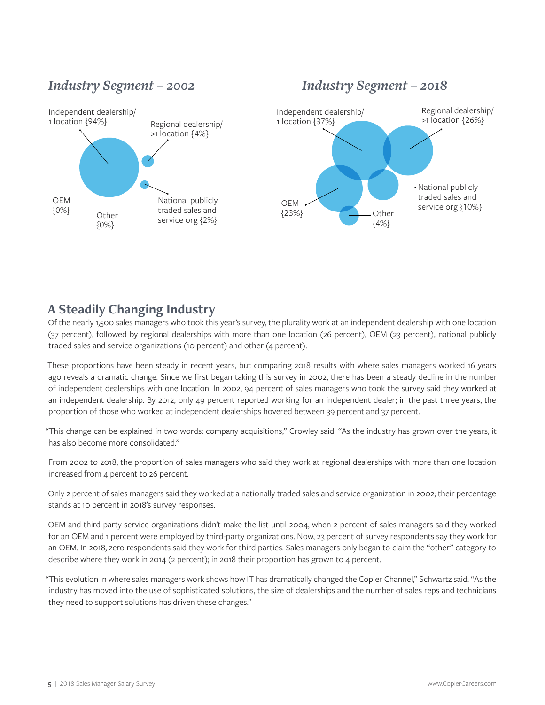# *Industry Segment – 2002 Industry Segment – 2018*



# **A Steadily Changing Industry**

Of the nearly 1,500 sales managers who took this year's survey, the plurality work at an independent dealership with one location (37 percent), followed by regional dealerships with more than one location (26 percent), OEM (23 percent), national publicly traded sales and service organizations (10 percent) and other (4 percent).

These proportions have been steady in recent years, but comparing 2018 results with where sales managers worked 16 years ago reveals a dramatic change. Since we first began taking this survey in 2002, there has been a steady decline in the number of independent dealerships with one location. In 2002, 94 percent of sales managers who took the survey said they worked at an independent dealership. By 2012, only 49 percent reported working for an independent dealer; in the past three years, the proportion of those who worked at independent dealerships hovered between 39 percent and 37 percent.

"This change can be explained in two words: company acquisitions," Crowley said. "As the industry has grown over the years, it has also become more consolidated."

From 2002 to 2018, the proportion of sales managers who said they work at regional dealerships with more than one location increased from 4 percent to 26 percent.

Only 2 percent of sales managers said they worked at a nationally traded sales and service organization in 2002; their percentage stands at 10 percent in 2018's survey responses.

OEM and third-party service organizations didn't make the list until 2004, when 2 percent of sales managers said they worked for an OEM and 1 percent were employed by third-party organizations. Now, 23 percent of survey respondents say they work for an OEM. In 2018, zero respondents said they work for third parties. Sales managers only began to claim the "other" category to describe where they work in 2014 (2 percent); in 2018 their proportion has grown to 4 percent.

"This evolution in where sales managers work shows how IT has dramatically changed the Copier Channel," Schwartz said. "As the industry has moved into the use of sophisticated solutions, the size of dealerships and the number of sales reps and technicians they need to support solutions has driven these changes."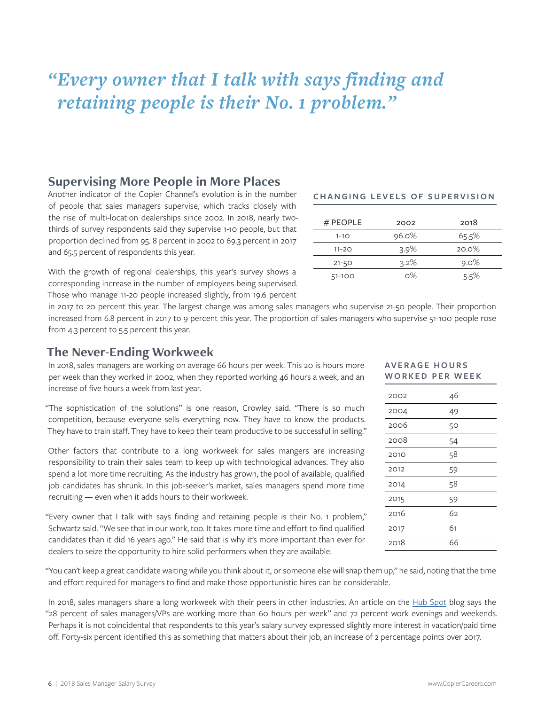# *"Every owner that I talk with says finding and retaining people is their No. 1 problem."*

# **Supervising More People in More Places**

Another indicator of the Copier Channel's evolution is in the number of people that sales managers supervise, which tracks closely with the rise of multi-location dealerships since 2002. In 2018, nearly twothirds of survey respondents said they supervise 1-10 people, but that proportion declined from 95. 8 percent in 2002 to 69.3 percent in 2017 and 65.5 percent of respondents this year.

With the growth of regional dealerships, this year's survey shows a corresponding increase in the number of employees being supervised. Those who manage 11-20 people increased slightly, from 19.6 percent

# **CHANGING LEVELS OF SUPERVISION**

| $#$ PEOPLE | 2002    | 2018    |
|------------|---------|---------|
| $1 - 10$   | 96.0%   | 65.5%   |
| $11 - 20$  | $3.9\%$ | 20.0%   |
| $21 - 50$  | $3.2\%$ | $9.0\%$ |
| 51-100     | $0\%$   | 5.5%    |

in 2017 to 20 percent this year. The largest change was among sales managers who supervise 21-50 people. Their proportion increased from 6.8 percent in 2017 to 9 percent this year. The proportion of sales managers who supervise 51-100 people rose from 4.3 percent to 5.5 percent this year.

# **The Never-Ending Workweek**

In 2018, sales managers are working on average 66 hours per week. This 20 is hours more per week than they worked in 2002, when they reported working 46 hours a week, and an increase of five hours a week from last year.

"The sophistication of the solutions" is one reason, Crowley said. "There is so much competition, because everyone sells everything now. They have to know the products. They have to train staff. They have to keep their team productive to be successful in selling."

Other factors that contribute to a long workweek for sales mangers are increasing responsibility to train their sales team to keep up with technological advances. They also spend a lot more time recruiting. As the industry has grown, the pool of available, qualified job candidates has shrunk. In this job-seeker's market, sales managers spend more time recruiting — even when it adds hours to their workweek.

"Every owner that I talk with says finding and retaining people is their No. 1 problem," Schwartz said. "We see that in our work, too. It takes more time and effort to find qualified candidates than it did 16 years ago." He said that is why it's more important than ever for dealers to seize the opportunity to hire solid performers when they are available.

"You can't keep a great candidate waiting while you think about it, or someone else will snap them up," he said, noting that the time and effort required for managers to find and make those opportunistic hires can be considerable.

In 2018, sales managers share a long workweek with their peers in other industries. An article on the [Hub Spot](https://blog.hubspot.com/sales/average-work-week-sales) blog says the "28 percent of sales managers/VPs are working more than 60 hours per week" and 72 percent work evenings and weekends. Perhaps it is not coincidental that respondents to this year's salary survey expressed slightly more interest in vacation/paid time off. Forty-six percent identified this as something that matters about their job, an increase of 2 percentage points over 2017.

# **AV E R A G E H O U R S WORKED PER WEEK**

| 2002 | 46 |
|------|----|
| 2004 | 49 |
| 2006 | 50 |
| 2008 | 54 |
| 2010 | 58 |
| 2012 | 59 |
| 2014 | 58 |
| 2015 | 59 |
| 2016 | 62 |
| 2017 | 61 |
| 2018 | 66 |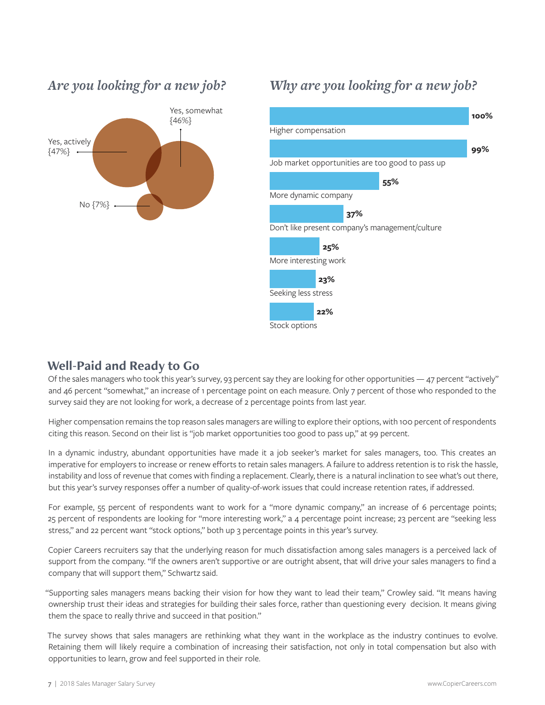

# *Are you looking for a new job?*

# *Why are you looking for a new job?*



# **Well-Paid and Ready to Go**

Of the sales managers who took this year's survey, 93 percent say they are looking for other opportunities — 47 percent "actively" and 46 percent "somewhat," an increase of 1 percentage point on each measure. Only 7 percent of those who responded to the survey said they are not looking for work, a decrease of 2 percentage points from last year.

Higher compensation remains the top reason sales managers are willing to explore their options, with 100 percent of respondents citing this reason. Second on their list is "job market opportunities too good to pass up," at 99 percent.

In a dynamic industry, abundant opportunities have made it a job seeker's market for sales managers, too. This creates an imperative for employers to increase or renew efforts to retain sales managers. A failure to address retention is to risk the hassle, instability and loss of revenue that comes with finding a replacement. Clearly, there is a natural inclination to see what's out there, but this year's survey responses offer a number of quality-of-work issues that could increase retention rates, if addressed.

For example, 55 percent of respondents want to work for a "more dynamic company," an increase of 6 percentage points; 25 percent of respondents are looking for "more interesting work," a 4 percentage point increase; 23 percent are "seeking less stress," and 22 percent want "stock options," both up 3 percentage points in this year's survey.

Copier Careers recruiters say that the underlying reason for much dissatisfaction among sales managers is a perceived lack of support from the company. "If the owners aren't supportive or are outright absent, that will drive your sales managers to find a company that will support them," Schwartz said.

"Supporting sales managers means backing their vision for how they want to lead their team," Crowley said. "It means having ownership trust their ideas and strategies for building their sales force, rather than questioning every decision. It means giving them the space to really thrive and succeed in that position."

The survey shows that sales managers are rethinking what they want in the workplace as the industry continues to evolve. Retaining them will likely require a combination of increasing their satisfaction, not only in total compensation but also with opportunities to learn, grow and feel supported in their role.